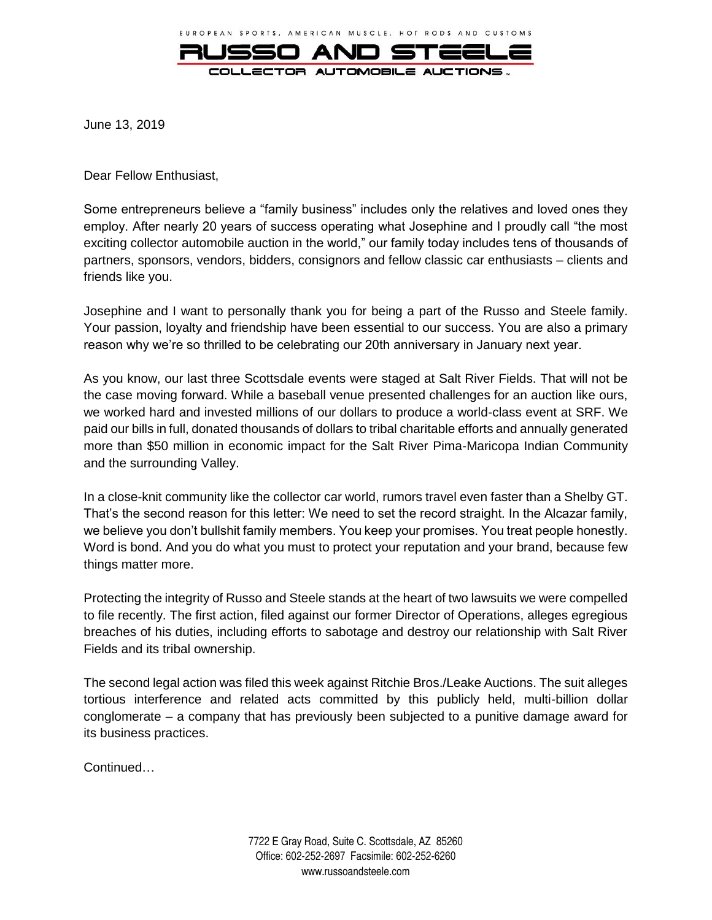

June 13, 2019

Dear Fellow Enthusiast,

Some entrepreneurs believe a "family business" includes only the relatives and loved ones they employ. After nearly 20 years of success operating what Josephine and I proudly call "the most exciting collector automobile auction in the world," our family today includes tens of thousands of partners, sponsors, vendors, bidders, consignors and fellow classic car enthusiasts – clients and friends like you.

Josephine and I want to personally thank you for being a part of the Russo and Steele family. Your passion, loyalty and friendship have been essential to our success. You are also a primary reason why we're so thrilled to be celebrating our 20th anniversary in January next year.

As you know, our last three Scottsdale events were staged at Salt River Fields. That will not be the case moving forward. While a baseball venue presented challenges for an auction like ours, we worked hard and invested millions of our dollars to produce a world-class event at SRF. We paid our bills in full, donated thousands of dollars to tribal charitable efforts and annually generated more than \$50 million in economic impact for the Salt River Pima-Maricopa Indian Community and the surrounding Valley.

In a close-knit community like the collector car world, rumors travel even faster than a Shelby GT. That's the second reason for this letter: We need to set the record straight. In the Alcazar family, we believe you don't bullshit family members. You keep your promises. You treat people honestly. Word is bond. And you do what you must to protect your reputation and your brand, because few things matter more.

Protecting the integrity of Russo and Steele stands at the heart of two lawsuits we were compelled to file recently. The first action, filed against our former Director of Operations, alleges egregious breaches of his duties, including efforts to sabotage and destroy our relationship with Salt River Fields and its tribal ownership.

The second legal action was filed this week against Ritchie Bros./Leake Auctions. The suit alleges tortious interference and related acts committed by this publicly held, multi-billion dollar conglomerate – a company that has previously been subjected to a punitive damage award for its business practices.

Continued…